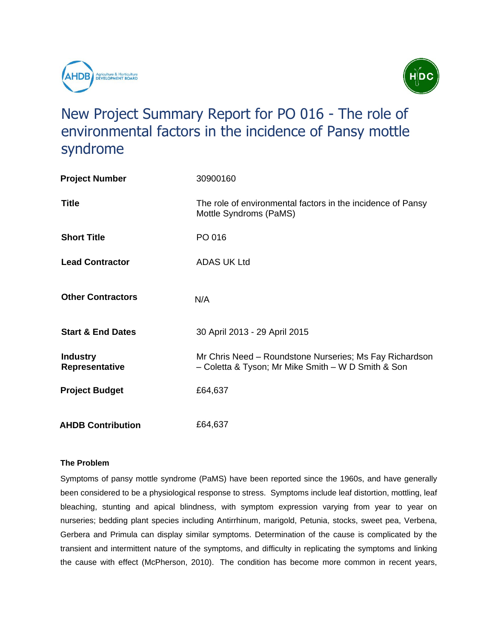



# New Project Summary Report for PO 016 - The role of environmental factors in the incidence of Pansy mottle syndrome

| <b>Project Number</b>                    | 30900160                                                                                                      |
|------------------------------------------|---------------------------------------------------------------------------------------------------------------|
| <b>Title</b>                             | The role of environmental factors in the incidence of Pansy<br>Mottle Syndroms (PaMS)                         |
| <b>Short Title</b>                       | PO 016                                                                                                        |
| <b>Lead Contractor</b>                   | <b>ADAS UK Ltd</b>                                                                                            |
| <b>Other Contractors</b>                 | N/A                                                                                                           |
| <b>Start &amp; End Dates</b>             | 30 April 2013 - 29 April 2015                                                                                 |
| <b>Industry</b><br><b>Representative</b> | Mr Chris Need – Roundstone Nurseries; Ms Fay Richardson<br>- Coletta & Tyson; Mr Mike Smith - W D Smith & Son |
| <b>Project Budget</b>                    | £64,637                                                                                                       |
| <b>AHDB Contribution</b>                 | £64,637                                                                                                       |

# **The Problem**

Symptoms of pansy mottle syndrome (PaMS) have been reported since the 1960s, and have generally been considered to be a physiological response to stress. Symptoms include leaf distortion, mottling, leaf bleaching, stunting and apical blindness, with symptom expression varying from year to year on nurseries; bedding plant species including Antirrhinum, marigold, Petunia, stocks, sweet pea, Verbena, Gerbera and Primula can display similar symptoms. Determination of the cause is complicated by the transient and intermittent nature of the symptoms, and difficulty in replicating the symptoms and linking the cause with effect (McPherson, 2010). The condition has become more common in recent years,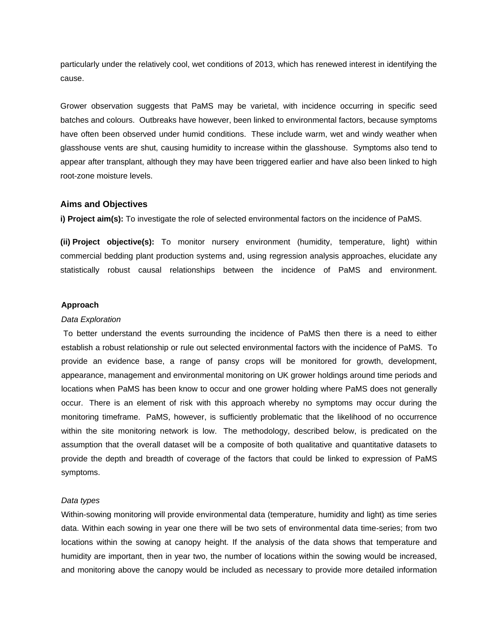particularly under the relatively cool, wet conditions of 2013, which has renewed interest in identifying the cause.

Grower observation suggests that PaMS may be varietal, with incidence occurring in specific seed batches and colours. Outbreaks have however, been linked to environmental factors, because symptoms have often been observed under humid conditions. These include warm, wet and windy weather when glasshouse vents are shut, causing humidity to increase within the glasshouse. Symptoms also tend to appear after transplant, although they may have been triggered earlier and have also been linked to high root-zone moisture levels.

## **Aims and Objectives**

**i) Project aim(s):** To investigate the role of selected environmental factors on the incidence of PaMS.

**(ii) Project objective(s):** To monitor nursery environment (humidity, temperature, light) within commercial bedding plant production systems and, using regression analysis approaches, elucidate any statistically robust causal relationships between the incidence of PaMS and environment.

### **Approach**

#### *Data Exploration*

To better understand the events surrounding the incidence of PaMS then there is a need to either establish a robust relationship or rule out selected environmental factors with the incidence of PaMS. To provide an evidence base, a range of pansy crops will be monitored for growth, development, appearance, management and environmental monitoring on UK grower holdings around time periods and locations when PaMS has been know to occur and one grower holding where PaMS does not generally occur. There is an element of risk with this approach whereby no symptoms may occur during the monitoring timeframe. PaMS, however, is sufficiently problematic that the likelihood of no occurrence within the site monitoring network is low. The methodology, described below, is predicated on the assumption that the overall dataset will be a composite of both qualitative and quantitative datasets to provide the depth and breadth of coverage of the factors that could be linked to expression of PaMS symptoms.

#### *Data types*

Within-sowing monitoring will provide environmental data (temperature, humidity and light) as time series data. Within each sowing in year one there will be two sets of environmental data time-series; from two locations within the sowing at canopy height. If the analysis of the data shows that temperature and humidity are important, then in year two, the number of locations within the sowing would be increased, and monitoring above the canopy would be included as necessary to provide more detailed information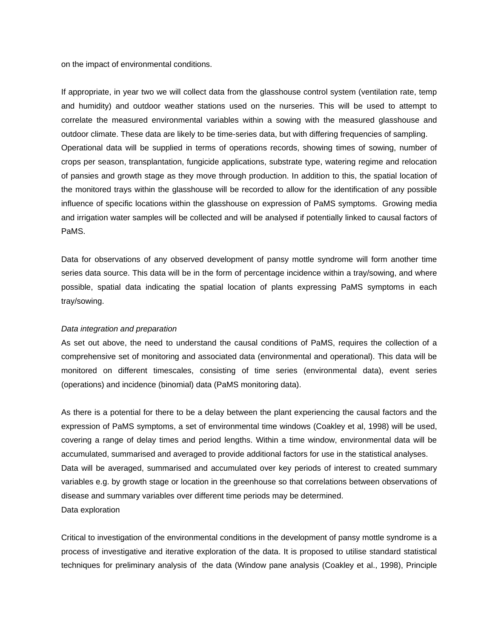on the impact of environmental conditions.

If appropriate, in year two we will collect data from the glasshouse control system (ventilation rate, temp and humidity) and outdoor weather stations used on the nurseries. This will be used to attempt to correlate the measured environmental variables within a sowing with the measured glasshouse and outdoor climate. These data are likely to be time-series data, but with differing frequencies of sampling. Operational data will be supplied in terms of operations records, showing times of sowing, number of crops per season, transplantation, fungicide applications, substrate type, watering regime and relocation of pansies and growth stage as they move through production. In addition to this, the spatial location of the monitored trays within the glasshouse will be recorded to allow for the identification of any possible influence of specific locations within the glasshouse on expression of PaMS symptoms. Growing media and irrigation water samples will be collected and will be analysed if potentially linked to causal factors of PaMS.

Data for observations of any observed development of pansy mottle syndrome will form another time series data source. This data will be in the form of percentage incidence within a tray/sowing, and where possible, spatial data indicating the spatial location of plants expressing PaMS symptoms in each tray/sowing.

### *Data integration and preparation*

As set out above, the need to understand the causal conditions of PaMS, requires the collection of a comprehensive set of monitoring and associated data (environmental and operational). This data will be monitored on different timescales, consisting of time series (environmental data), event series (operations) and incidence (binomial) data (PaMS monitoring data).

As there is a potential for there to be a delay between the plant experiencing the causal factors and the expression of PaMS symptoms, a set of environmental time windows (Coakley et al, 1998) will be used, covering a range of delay times and period lengths. Within a time window, environmental data will be accumulated, summarised and averaged to provide additional factors for use in the statistical analyses. Data will be averaged, summarised and accumulated over key periods of interest to created summary variables e.g. by growth stage or location in the greenhouse so that correlations between observations of disease and summary variables over different time periods may be determined. Data exploration

Critical to investigation of the environmental conditions in the development of pansy mottle syndrome is a process of investigative and iterative exploration of the data. It is proposed to utilise standard statistical techniques for preliminary analysis of the data (Window pane analysis (Coakley et al., 1998), Principle